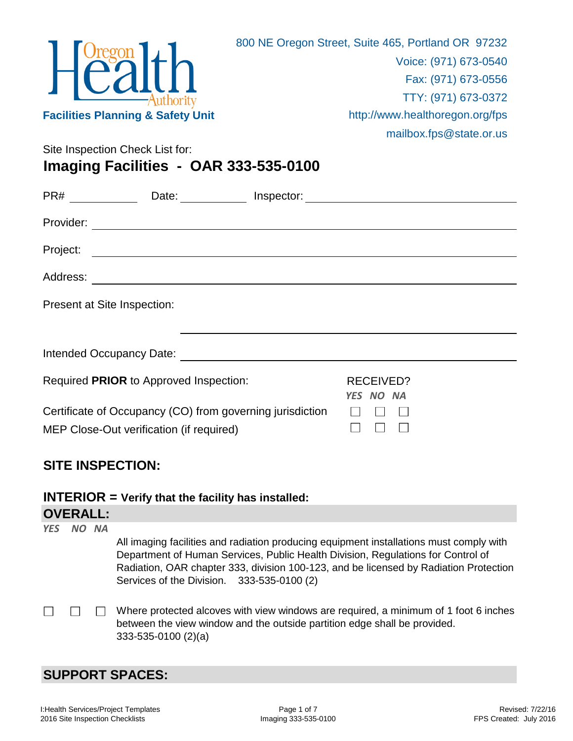| <b>Facilities Planning &amp; Safety Unit</b>                                     | 800 NE Oregon Street, Suite 465, Portland OR 97232<br>Voice: (971) 673-0540<br>Fax: (971) 673-0556<br>TTY: (971) 673-0372<br>http://www.healthoregon.org/fps<br>mailbox.fps@state.or.us |  |  |
|----------------------------------------------------------------------------------|-----------------------------------------------------------------------------------------------------------------------------------------------------------------------------------------|--|--|
| Site Inspection Check List for:                                                  |                                                                                                                                                                                         |  |  |
| Imaging Facilities - OAR 333-535-0100                                            |                                                                                                                                                                                         |  |  |
| PR# _______________Date: ______________Inspector: ______________________________ |                                                                                                                                                                                         |  |  |
|                                                                                  |                                                                                                                                                                                         |  |  |
|                                                                                  |                                                                                                                                                                                         |  |  |
|                                                                                  |                                                                                                                                                                                         |  |  |
|                                                                                  |                                                                                                                                                                                         |  |  |
| Present at Site Inspection:                                                      |                                                                                                                                                                                         |  |  |
|                                                                                  |                                                                                                                                                                                         |  |  |
| Required PRIOR to Approved Inspection:                                           | <b>RECEIVED?</b><br><b>YES</b><br>NO NA                                                                                                                                                 |  |  |
| Certificate of Occupancy (CO) from governing jurisdiction                        |                                                                                                                                                                                         |  |  |

#### **SITE INSPECTION:**

MEP Close-Out verification (if required)

**INTERIOR = Verify that the facility has installed:**

## **OVERALL:**

| <b>YES</b> | NO NA | All imaging facilities and radiation producing equipment installations must comply with<br>Department of Human Services, Public Health Division, Regulations for Control of<br>Radiation, OAR chapter 333, division 100-123, and be licensed by Radiation Protection<br>Services of the Division. 333-535-0100 (2) |
|------------|-------|--------------------------------------------------------------------------------------------------------------------------------------------------------------------------------------------------------------------------------------------------------------------------------------------------------------------|
|            |       | Where protected alcoves with view windows are required, a minimum of 1 foot 6 inches<br>between the view window and the outside partition edge shall be provided.<br>$333-535-0100(2)(a)$                                                                                                                          |

 $\Box$ 

 $\Box$ 

 $\Box$ 

## **SUPPORT SPACES:**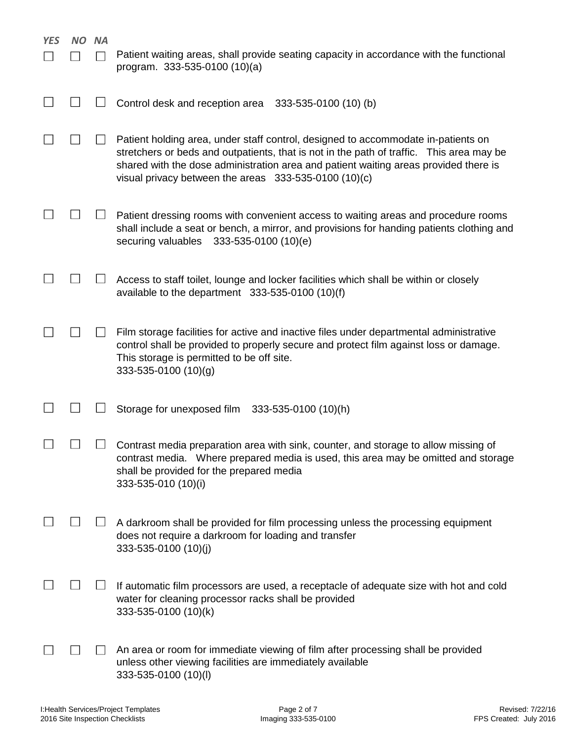| <b>YES</b> | NΟ | ΝA | Patient waiting areas, shall provide seating capacity in accordance with the functional<br>program. 333-535-0100 (10)(a)                                                                                                                                                                                                        |
|------------|----|----|---------------------------------------------------------------------------------------------------------------------------------------------------------------------------------------------------------------------------------------------------------------------------------------------------------------------------------|
|            |    |    | Control desk and reception area<br>333-535-0100 (10) (b)                                                                                                                                                                                                                                                                        |
|            |    |    | Patient holding area, under staff control, designed to accommodate in-patients on<br>stretchers or beds and outpatients, that is not in the path of traffic. This area may be<br>shared with the dose administration area and patient waiting areas provided there is<br>visual privacy between the areas $333-535-0100(10)(c)$ |
|            |    |    | Patient dressing rooms with convenient access to waiting areas and procedure rooms<br>shall include a seat or bench, a mirror, and provisions for handing patients clothing and<br>securing valuables<br>333-535-0100 (10)(e)                                                                                                   |
|            |    |    | Access to staff toilet, lounge and locker facilities which shall be within or closely<br>available to the department $333-535-0100(10)(f)$                                                                                                                                                                                      |
|            |    |    | Film storage facilities for active and inactive files under departmental administrative<br>control shall be provided to properly secure and protect film against loss or damage.<br>This storage is permitted to be off site.<br>333-535-0100 (10)(g)                                                                           |
|            |    |    | Storage for unexposed film<br>333-535-0100 (10)(h)                                                                                                                                                                                                                                                                              |
|            |    |    | Contrast media preparation area with sink, counter, and storage to allow missing of<br>contrast media. Where prepared media is used, this area may be omitted and storage<br>shall be provided for the prepared media<br>333-535-010 (10)(i)                                                                                    |
|            |    |    | A darkroom shall be provided for film processing unless the processing equipment<br>does not require a darkroom for loading and transfer<br>333-535-0100 (10)(j)                                                                                                                                                                |
|            |    |    | If automatic film processors are used, a receptacle of adequate size with hot and cold<br>water for cleaning processor racks shall be provided<br>333-535-0100 (10)(k)                                                                                                                                                          |
|            |    |    | An area or room for immediate viewing of film after processing shall be provided<br>unless other viewing facilities are immediately available<br>333-535-0100 (10)(l)                                                                                                                                                           |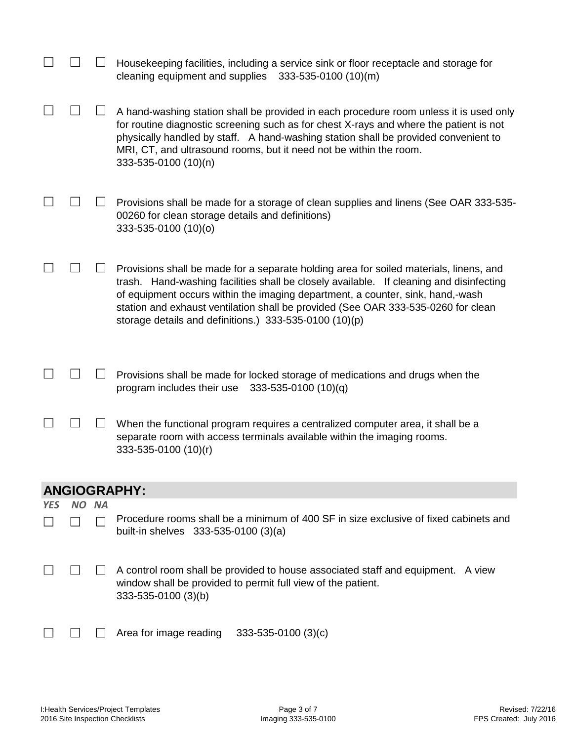|            |           |           | Housekeeping facilities, including a service sink or floor receptacle and storage for<br>cleaning equipment and supplies<br>333-535-0100 (10)(m)                                                                                                                                                                                                                                                                    |
|------------|-----------|-----------|---------------------------------------------------------------------------------------------------------------------------------------------------------------------------------------------------------------------------------------------------------------------------------------------------------------------------------------------------------------------------------------------------------------------|
|            |           |           | A hand-washing station shall be provided in each procedure room unless it is used only<br>for routine diagnostic screening such as for chest X-rays and where the patient is not<br>physically handled by staff. A hand-washing station shall be provided convenient to<br>MRI, CT, and ultrasound rooms, but it need not be within the room.<br>333-535-0100 (10)(n)                                               |
|            |           |           | Provisions shall be made for a storage of clean supplies and linens (See OAR 333-535-<br>00260 for clean storage details and definitions)<br>333-535-0100 (10)(o)                                                                                                                                                                                                                                                   |
|            |           |           | Provisions shall be made for a separate holding area for soiled materials, linens, and<br>trash. Hand-washing facilities shall be closely available. If cleaning and disinfecting<br>of equipment occurs within the imaging department, a counter, sink, hand,-wash<br>station and exhaust ventilation shall be provided (See OAR 333-535-0260 for clean<br>storage details and definitions.) $333-535-0100(10)(p)$ |
|            |           |           | Provisions shall be made for locked storage of medications and drugs when the<br>program includes their use<br>$333 - 535 - 0100(10)(q)$                                                                                                                                                                                                                                                                            |
|            |           |           | When the functional program requires a centralized computer area, it shall be a<br>separate room with access terminals available within the imaging rooms.<br>333-535-0100 (10)(r)                                                                                                                                                                                                                                  |
|            |           |           | <b>ANGIOGRAPHY:</b>                                                                                                                                                                                                                                                                                                                                                                                                 |
| <b>YES</b> | <b>NO</b> | <b>NA</b> |                                                                                                                                                                                                                                                                                                                                                                                                                     |
|            |           |           | Procedure rooms shall be a minimum of 400 SF in size exclusive of fixed cabinets and<br>built-in shelves 333-535-0100 (3)(a)                                                                                                                                                                                                                                                                                        |
|            |           |           | A control room shall be provided to house associated staff and equipment. A view<br>window shall be provided to permit full view of the patient.<br>333-535-0100 (3)(b)                                                                                                                                                                                                                                             |
|            |           |           | Area for image reading<br>$333 - 535 - 0100(3)(c)$                                                                                                                                                                                                                                                                                                                                                                  |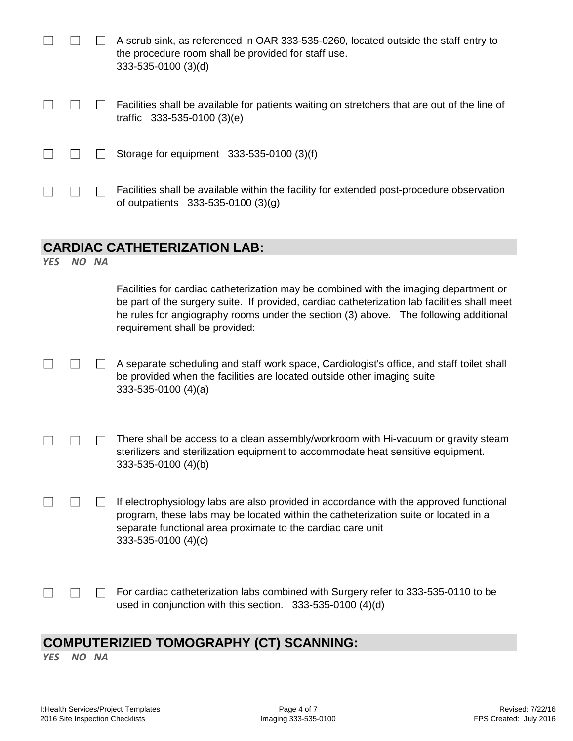|            |       | A scrub sink, as referenced in OAR 333-535-0260, located outside the staff entry to<br>the procedure room shall be provided for staff use.<br>333-535-0100 (3)(d)                                                                                                                                               |
|------------|-------|-----------------------------------------------------------------------------------------------------------------------------------------------------------------------------------------------------------------------------------------------------------------------------------------------------------------|
|            |       | Facilities shall be available for patients waiting on stretchers that are out of the line of<br>traffic 333-535-0100 (3)(e)                                                                                                                                                                                     |
|            |       | Storage for equipment 333-535-0100 (3)(f)                                                                                                                                                                                                                                                                       |
|            |       | Facilities shall be available within the facility for extended post-procedure observation<br>of outpatients 333-535-0100 (3)(g)                                                                                                                                                                                 |
|            |       |                                                                                                                                                                                                                                                                                                                 |
|            |       | <b>CARDIAC CATHETERIZATION LAB:</b>                                                                                                                                                                                                                                                                             |
| <b>YES</b> | NO NA |                                                                                                                                                                                                                                                                                                                 |
|            |       | Facilities for cardiac catheterization may be combined with the imaging department or<br>be part of the surgery suite. If provided, cardiac catheterization lab facilities shall meet<br>he rules for angiography rooms under the section (3) above. The following additional<br>requirement shall be provided: |

- There shall be access to a clean assembly/workroom with Hi-vacuum or gravity steam  $\Box$  $\Box$  $\Box$ sterilizers and sterilization equipment to accommodate heat sensitive equipment. 333-535-0100 (4)(b)
- $\Box$  $\Box$  $\Box$ If electrophysiology labs are also provided in accordance with the approved functional program, these labs may be located within the catheterization suite or located in a separate functional area proximate to the cardiac care unit 333-535-0100 (4)(c)
- $\Box$  $\Box$

For cardiac catheterization labs combined with Surgery refer to 333-535-0110 to be used in conjunction with this section. 333-535-0100 (4)(d)

#### **COMPUTERIZIED TOMOGRAPHY (CT) SCANNING:**

*YES NO NA*

 $\Box$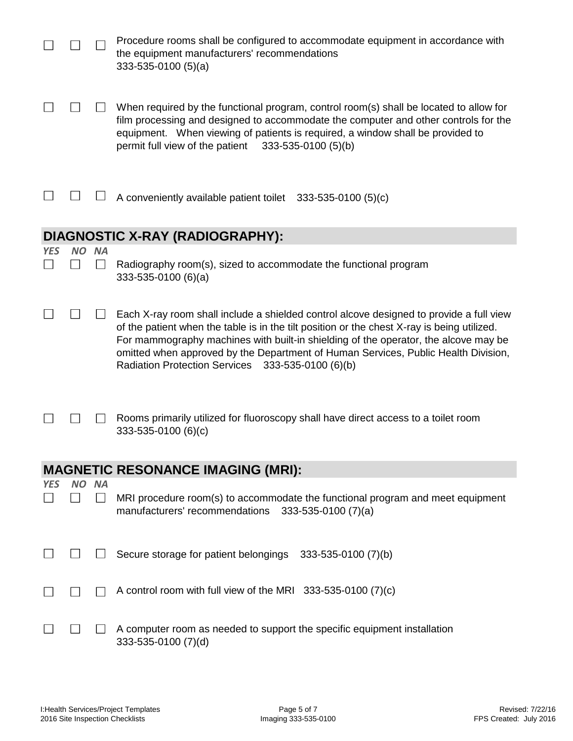|            |           |                | Procedure rooms shall be configured to accommodate equipment in accordance with<br>the equipment manufacturers' recommendations<br>$333-535-0100(5)(a)$                                                                                                                                                                                                                                                                            |
|------------|-----------|----------------|------------------------------------------------------------------------------------------------------------------------------------------------------------------------------------------------------------------------------------------------------------------------------------------------------------------------------------------------------------------------------------------------------------------------------------|
|            |           |                | When required by the functional program, control room(s) shall be located to allow for<br>film processing and designed to accommodate the computer and other controls for the<br>equipment. When viewing of patients is required, a window shall be provided to<br>permit full view of the patient $333-535-0100$ (5)(b)                                                                                                           |
|            |           |                | A conveniently available patient toilet 333-535-0100 (5)(c)                                                                                                                                                                                                                                                                                                                                                                        |
|            |           |                | <b>DIAGNOSTIC X-RAY (RADIOGRAPHY):</b>                                                                                                                                                                                                                                                                                                                                                                                             |
| <b>YES</b> | <b>NO</b> | <b>NA</b>      |                                                                                                                                                                                                                                                                                                                                                                                                                                    |
|            |           |                | Radiography room(s), sized to accommodate the functional program<br>$333 - 535 - 0100$ (6)(a)                                                                                                                                                                                                                                                                                                                                      |
|            |           |                | Each X-ray room shall include a shielded control alcove designed to provide a full view<br>of the patient when the table is in the tilt position or the chest X-ray is being utilized.<br>For mammography machines with built-in shielding of the operator, the alcove may be<br>omitted when approved by the Department of Human Services, Public Health Division,<br><b>Radiation Protection Services</b><br>333-535-0100 (6)(b) |
|            |           |                | Rooms primarily utilized for fluoroscopy shall have direct access to a toilet room<br>333-535-0100 (6)(c)                                                                                                                                                                                                                                                                                                                          |
|            |           |                | <b>MAGNETIC RESONANCE IMAGING (MRI):</b>                                                                                                                                                                                                                                                                                                                                                                                           |
| <b>YES</b> |           | NO NA          |                                                                                                                                                                                                                                                                                                                                                                                                                                    |
|            |           | $\blacksquare$ | MRI procedure room(s) to accommodate the functional program and meet equipment<br>manufacturers' recommendations<br>$333 - 535 - 0100(7)(a)$                                                                                                                                                                                                                                                                                       |
|            |           |                | Secure storage for patient belongings 333-535-0100 (7)(b)                                                                                                                                                                                                                                                                                                                                                                          |
|            |           |                | A control room with full view of the MRI $333-535-0100$ (7)(c)                                                                                                                                                                                                                                                                                                                                                                     |
|            |           |                | A computer room as needed to support the specific equipment installation<br>333-535-0100 (7)(d)                                                                                                                                                                                                                                                                                                                                    |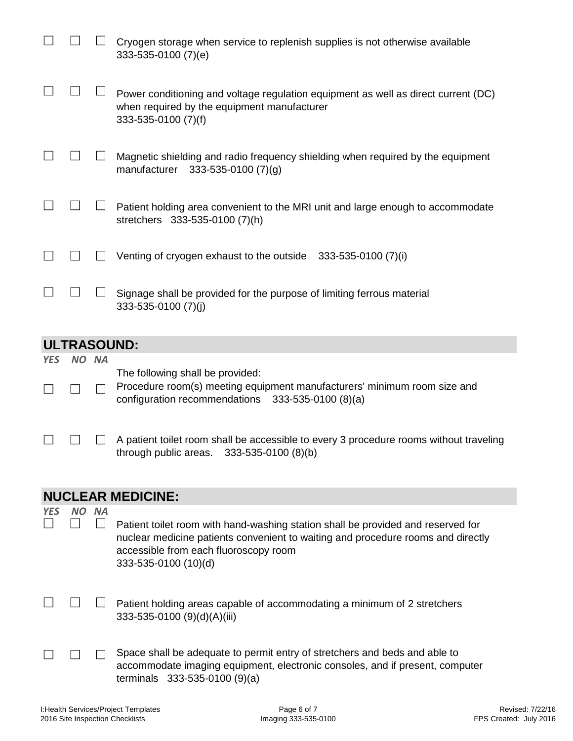|            |       | Cryogen storage when service to replenish supplies is not otherwise available<br>333-535-0100 (7)(e)                                                              |
|------------|-------|-------------------------------------------------------------------------------------------------------------------------------------------------------------------|
|            |       | Power conditioning and voltage regulation equipment as well as direct current (DC)<br>when required by the equipment manufacturer<br>333-535-0100 (7)(f)          |
|            |       | Magnetic shielding and radio frequency shielding when required by the equipment<br>manufacturer<br>$333 - 535 - 0100$ (7)(g)                                      |
|            |       | Patient holding area convenient to the MRI unit and large enough to accommodate<br>stretchers 333-535-0100 (7)(h)                                                 |
|            |       | Venting of cryogen exhaust to the outside 333-535-0100 (7)(i)                                                                                                     |
|            |       | Signage shall be provided for the purpose of limiting ferrous material<br>333-535-0100 (7)(j)                                                                     |
|            |       | <b>ULTRASOUND:</b>                                                                                                                                                |
| <b>YES</b> | NO NA |                                                                                                                                                                   |
|            |       | The following shall be provided:<br>Procedure room(s) meeting equipment manufacturers' minimum room size and<br>configuration recommendations 333-535-0100 (8)(a) |
|            |       | A patient toilet room shall be accessible to every 3 procedure rooms without traveling<br>333-535-0100 (8)(b)<br>through public areas.                            |

# **NUCLEAR MEDICINE:**

| <b>YES</b> | ΝA | Patient toilet room with hand-washing station shall be provided and reserved for<br>nuclear medicine patients convenient to waiting and procedure rooms and directly<br>accessible from each fluoroscopy room<br>333-535-0100 (10)(d) |
|------------|----|---------------------------------------------------------------------------------------------------------------------------------------------------------------------------------------------------------------------------------------|
|            |    | Patient holding areas capable of accommodating a minimum of 2 stretchers<br>333-535-0100 (9)(d)(A)(iii)                                                                                                                               |
|            |    | Space shall be adequate to permit entry of stretchers and beds and able to<br>accommodate imaging equipment, electronic consoles, and if present, computer<br>terminals 333-535-0100 (9)(a)                                           |